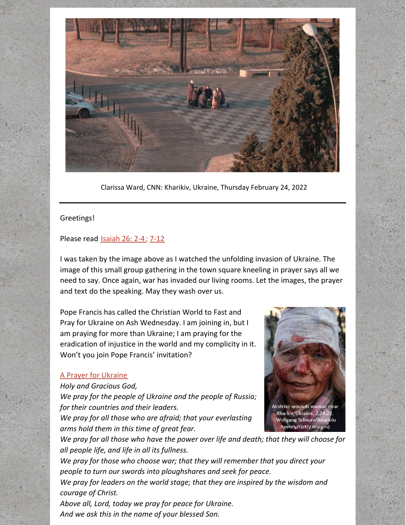

Clarissa Ward, CNN: Kharikiv, Ukraine, Thursday February 24, 2022

## Greetings!

## Please read [Isaiah](https://www.biblegateway.com/passage/?search=Isaiah+26%3A+2-4&version=NRSV) 26: 2-4; [7-12](https://www.biblegateway.com/passage/?search=Isaiah+26%3A+7-12&version=NRSV)

I was taken by the image above as I watched the unfolding invasion of Ukraine. The image of this small group gathering in the town square kneeling in prayer says all we need to say. Once again, war has invaded our living rooms. Let the images, the prayer and text do the speaking. May they wash over us.

Pope Francis has called the Christian World to Fast and Pray for Ukraine on Ash Wednesday. I am joining in, but I am praying for more than Ukraine; I am praying for the eradication of injustice in the world and my complicity in it. Won't you join Pope Francis' invitation?

## A Prayer for [Ukraine](https://www.methodist.org.uk/our-faith/prayer/prayer-for-peace-in-ukraine/)

## *Holy and Gracious God,*

*We pray for the people of Ukraine and the people of Russia; for their countries and their leaders.*

*We pray for all those who are afraid; that your everlasting arms hold them in this time of great fear.*



*We pray for all those who have the power over life and death; that they will choose for all people life, and life in all its fullness.*

*We pray for those who choose war; that they will remember that you direct your people to turn our swords into ploughshares and seek for peace.*

*We pray for leaders on the world stage; that they are inspired by the wisdom and courage of Christ.*

*Above all, Lord, today we pray for peace for Ukraine. And we ask this in the name of your blessed Son.*